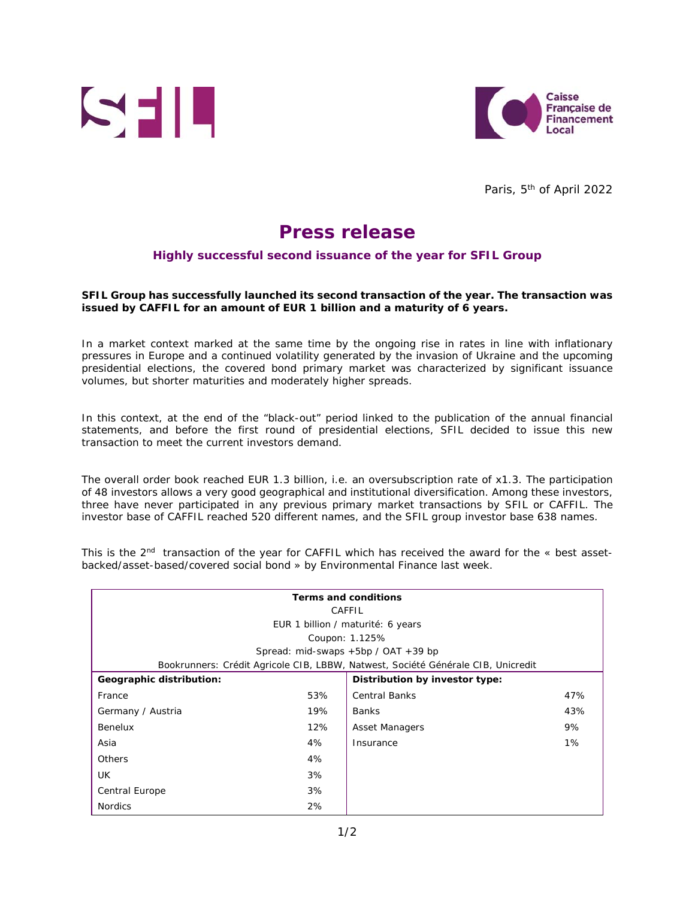



Paris, 5<sup>th</sup> of April 2022

## **Press release**

## **Highly successful second issuance of the year for SFIL Group**

## **SFIL Group has successfully launched its second transaction of the year. The transaction was issued by CAFFIL for an amount of EUR 1 billion and a maturity of 6 years.**

In a market context marked at the same time by the ongoing rise in rates in line with inflationary pressures in Europe and a continued volatility generated by the invasion of Ukraine and the upcoming presidential elections, the covered bond primary market was characterized by significant issuance volumes, but shorter maturities and moderately higher spreads.

In this context, at the end of the "black-out" period linked to the publication of the annual financial statements, and before the first round of presidential elections, SFIL decided to issue this new transaction to meet the current investors demand.

The overall order book reached EUR 1.3 billion, i.e. an oversubscription rate of x1.3. The participation of 48 investors allows a very good geographical and institutional diversification. Among these investors, three have never participated in any previous primary market transactions by SFIL or CAFFIL. The investor base of CAFFIL reached 520 different names, and the SFIL group investor base 638 names.

This is the  $2<sup>nd</sup>$  transaction of the year for CAFFIL which has received the award for the « best assetbacked/asset-based/covered social bond » by Environmental Finance last week.

| <b>Terms and conditions</b>                                                      |     |                                |       |  |
|----------------------------------------------------------------------------------|-----|--------------------------------|-------|--|
| CAFFIL                                                                           |     |                                |       |  |
| EUR 1 billion / maturité: 6 years                                                |     |                                |       |  |
| Coupon: 1.125%                                                                   |     |                                |       |  |
| Spread: mid-swaps $+5bp / OAT +39 bp$                                            |     |                                |       |  |
| Bookrunners: Crédit Agricole CIB, LBBW, Natwest, Société Générale CIB, Unicredit |     |                                |       |  |
| Geographic distribution:                                                         |     | Distribution by investor type: |       |  |
| France                                                                           | 53% | <b>Central Banks</b>           | 47%   |  |
| Germany / Austria                                                                | 19% | Banks                          | 43%   |  |
| Benelux                                                                          | 12% | Asset Managers                 | 9%    |  |
| Asia                                                                             | 4%  | Insurance                      | $1\%$ |  |
| <b>Others</b>                                                                    | 4%  |                                |       |  |
| UK.                                                                              | 3%  |                                |       |  |
| Central Europe                                                                   | 3%  |                                |       |  |
| <b>Nordics</b>                                                                   | 2%  |                                |       |  |